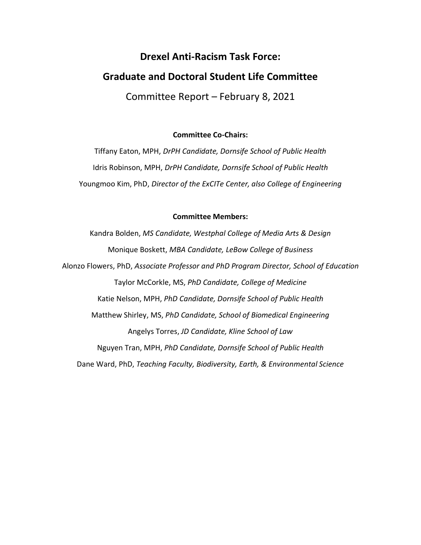# **Drexel Anti-Racism Task Force: Graduate and Doctoral Student Life Committee**

Committee Report – February 8, 2021

# **Committee Co-Chairs:**

Tiffany Eaton, MPH, *DrPH Candidate, Dornsife School of Public Health* Idris Robinson, MPH, *DrPH Candidate, Dornsife School of Public Health* Youngmoo Kim, PhD, *Director of the ExCITe Center, also College of Engineering*

#### **Committee Members:**

Kandra Bolden, *MS Candidate, Westphal College of Media Arts & Design* Monique Boskett, *MBA Candidate, LeBow College of Business* Alonzo Flowers, PhD, *Associate Professor and PhD Program Director, School of Education* Taylor McCorkle, MS, *PhD Candidate, College of Medicine* Katie Nelson, MPH, *PhD Candidate, Dornsife School of Public Health* Matthew Shirley, MS, *PhD Candidate, School of Biomedical Engineering* Angelys Torres, *JD Candidate, Kline School of Law* Nguyen Tran, MPH, *PhD Candidate, Dornsife School of Public Health* Dane Ward, PhD, *Teaching Faculty, Biodiversity, Earth, & Environmental Science*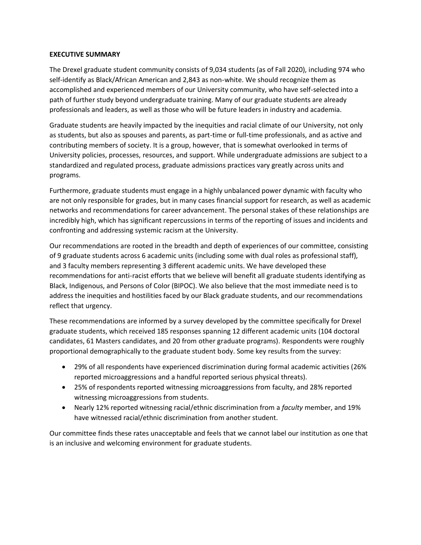#### **EXECUTIVE SUMMARY**

The Drexel graduate student community consists of 9,034 students (as of Fall 2020), including 974 who self-identify as Black/African American and 2,843 as non-white. We should recognize them as accomplished and experienced members of our University community, who have self-selected into a path of further study beyond undergraduate training. Many of our graduate students are already professionals and leaders, as well as those who will be future leaders in industry and academia.

Graduate students are heavily impacted by the inequities and racial climate of our University, not only as students, but also as spouses and parents, as part-time or full-time professionals, and as active and contributing members of society. It is a group, however, that is somewhat overlooked in terms of University policies, processes, resources, and support. While undergraduate admissions are subject to a standardized and regulated process, graduate admissions practices vary greatly across units and programs.

Furthermore, graduate students must engage in a highly unbalanced power dynamic with faculty who are not only responsible for grades, but in many cases financial support for research, as well as academic networks and recommendations for career advancement. The personal stakes of these relationships are incredibly high, which has significant repercussions in terms of the reporting of issues and incidents and confronting and addressing systemic racism at the University.

Our recommendations are rooted in the breadth and depth of experiences of our committee, consisting of 9 graduate students across 6 academic units (including some with dual roles as professional staff), and 3 faculty members representing 3 different academic units. We have developed these recommendations for anti-racist efforts that we believe will benefit all graduate students identifying as Black, Indigenous, and Persons of Color (BIPOC). We also believe that the most immediate need is to address the inequities and hostilities faced by our Black graduate students, and our recommendations reflect that urgency.

These recommendations are informed by a survey developed by the committee specifically for Drexel graduate students, which received 185 responses spanning 12 different academic units (104 doctoral candidates, 61 Masters candidates, and 20 from other graduate programs). Respondents were roughly proportional demographically to the graduate student body. Some key results from the survey:

- 29% of all respondents have experienced discrimination during formal academic activities (26% reported microaggressions and a handful reported serious physical threats).
- 25% of respondents reported witnessing microaggressions from faculty, and 28% reported witnessing microaggressions from students.
- Nearly 12% reported witnessing racial/ethnic discrimination from a *faculty* member, and 19% have witnessed racial/ethnic discrimination from another student.

Our committee finds these rates unacceptable and feels that we cannot label our institution as one that is an inclusive and welcoming environment for graduate students.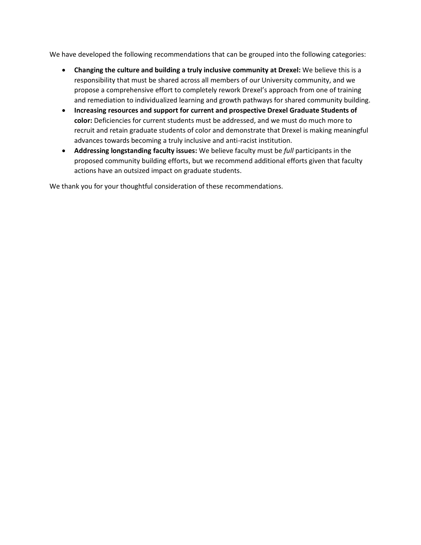We have developed the following recommendations that can be grouped into the following categories:

- **Changing the culture and building a truly inclusive community at Drexel:** We believe this is a responsibility that must be shared across all members of our University community, and we propose a comprehensive effort to completely rework Drexel's approach from one of training and remediation to individualized learning and growth pathways for shared community building.
- **Increasing resources and support for current and prospective Drexel Graduate Students of color:** Deficiencies for current students must be addressed, and we must do much more to recruit and retain graduate students of color and demonstrate that Drexel is making meaningful advances towards becoming a truly inclusive and anti-racist institution.
- **Addressing longstanding faculty issues:** We believe faculty must be *full* participants in the proposed community building efforts, but we recommend additional efforts given that faculty actions have an outsized impact on graduate students.

We thank you for your thoughtful consideration of these recommendations.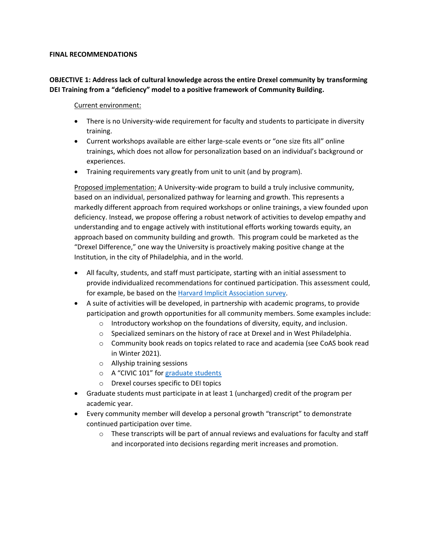#### **FINAL RECOMMENDATIONS**

# **OBJECTIVE 1: Address lack of cultural knowledge across the entire Drexel community by transforming DEI Training from a "deficiency" model to a positive framework of Community Building.**

#### Current environment:

- There is no University-wide requirement for faculty and students to participate in diversity training.
- Current workshops available are either large-scale events or "one size fits all" online trainings, which does not allow for personalization based on an individual's background or experiences.
- Training requirements vary greatly from unit to unit (and by program).

Proposed implementation: A University-wide program to build a truly inclusive community, based on an individual, personalized pathway for learning and growth. This represents a markedly different approach from required workshops or online trainings, a view founded upon deficiency. Instead, we propose offering a robust network of activities to develop empathy and understanding and to engage actively with institutional efforts working towards equity, an approach based on community building and growth. This program could be marketed as the "Drexel Difference," one way the University is proactively making positive change at the Institution, in the city of Philadelphia, and in the world.

- All faculty, students, and staff must participate, starting with an initial assessment to provide individualized recommendations for continued participation. This assessment could, for example, be based on the [Harvard Implicit Association survey.](https://implicit.harvard.edu/implicit/takeatest.html)
- A suite of activities will be developed, in partnership with academic programs, to provide participation and growth opportunities for all community members. Some examples include:
	- $\circ$  Introductory workshop on the foundations of diversity, equity, and inclusion.
	- $\circ$  Specialized seminars on the history of race at Drexel and in West Philadelphia.
	- o Community book reads on topics related to race and academia (see CoAS book read in Winter 2021).
	- o Allyship training sessions
	- o A "CIVIC 101" for [graduate students](https://drexel.edu/lindycenter/students/courses/first-year-civic-engagement/civc-101/)
	- o Drexel courses specific to DEI topics
- Graduate students must participate in at least 1 (uncharged) credit of the program per academic year.
- Every community member will develop a personal growth "transcript" to demonstrate continued participation over time.
	- $\circ$  These transcripts will be part of annual reviews and evaluations for faculty and staff and incorporated into decisions regarding merit increases and promotion.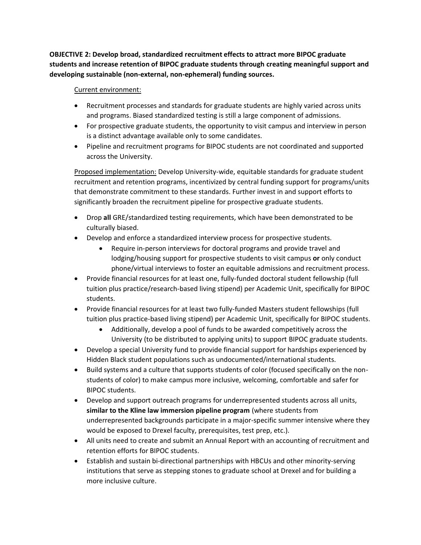**OBJECTIVE 2: Develop broad, standardized recruitment effects to attract more BIPOC graduate students and increase retention of BIPOC graduate students through creating meaningful support and developing sustainable (non-external, non-ephemeral) funding sources.**

### Current environment:

- Recruitment processes and standards for graduate students are highly varied across units and programs. Biased standardized testing is still a large component of admissions.
- For prospective graduate students, the opportunity to visit campus and interview in person is a distinct advantage available only to some candidates.
- Pipeline and recruitment programs for BIPOC students are not coordinated and supported across the University.

Proposed implementation: Develop University-wide, equitable standards for graduate student recruitment and retention programs, incentivized by central funding support for programs/units that demonstrate commitment to these standards. Further invest in and support efforts to significantly broaden the recruitment pipeline for prospective graduate students.

- Drop **all** GRE/standardized testing requirements, which have been demonstrated to be culturally biased.
- Develop and enforce a standardized interview process for prospective students.
	- Require in-person interviews for doctoral programs and provide travel and lodging/housing support for prospective students to visit campus **or** only conduct phone/virtual interviews to foster an equitable admissions and recruitment process.
- Provide financial resources for at least one, fully-funded doctoral student fellowship (full tuition plus practice/research-based living stipend) per Academic Unit, specifically for BIPOC students.
- Provide financial resources for at least two fully-funded Masters student fellowships (full tuition plus practice-based living stipend) per Academic Unit, specifically for BIPOC students.
	- Additionally, develop a pool of funds to be awarded competitively across the University (to be distributed to applying units) to support BIPOC graduate students.
- Develop a special University fund to provide financial support for hardships experienced by Hidden Black student populations such as undocumented/international students.
- Build systems and a culture that supports students of color (focused specifically on the nonstudents of color) to make campus more inclusive, welcoming, comfortable and safer for BIPOC students.
- Develop and support outreach programs for underrepresented students across all units, **similar to the Kline law immersion pipeline program** (where students from underrepresented backgrounds participate in a major-specific summer intensive where they would be exposed to Drexel faculty, prerequisites, test prep, etc.).
- All units need to create and submit an Annual Report with an accounting of recruitment and retention efforts for BIPOC students.
- Establish and sustain bi-directional partnerships with HBCUs and other minority-serving institutions that serve as stepping stones to graduate school at Drexel and for building a more inclusive culture.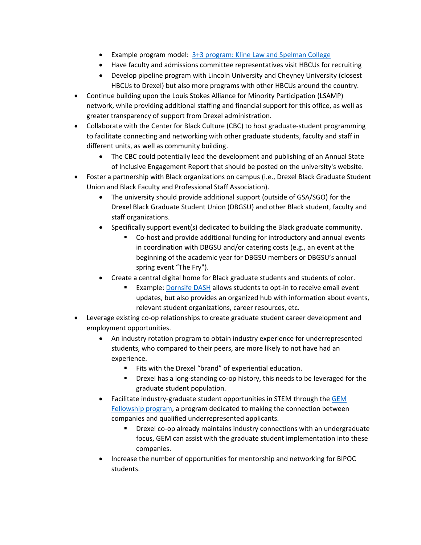- Example program model: 3+3 program: Kline [Law and Spelman College](https://drexel.edu/law/about/news/articles/overview/2020/December/drexel-kline-spelman-3-plus-3/)
- Have faculty and admissions committee representatives visit HBCUs for recruiting
- Develop pipeline program with Lincoln University and Cheyney University (closest HBCUs to Drexel) but also more programs with other HBCUs around the country.
- Continue building upon the Louis Stokes Alliance for Minority Participation (LSAMP) network, while providing additional staffing and financial support for this office, as well as greater transparency of support from Drexel administration.
- Collaborate with the Center for Black Culture (CBC) to host graduate-student programming to facilitate connecting and networking with other graduate students, faculty and staff in different units, as well as community building.
	- The CBC could potentially lead the development and publishing of an Annual State of Inclusive Engagement Report that should be posted on the university's website.
- Foster a partnership with Black organizations on campus (i.e., Drexel Black Graduate Student Union and Black Faculty and Professional Staff Association).
	- The university should provide additional support (outside of GSA/SGO) for the Drexel Black Graduate Student Union (DBGSU) and other Black student, faculty and staff organizations.
	- Specifically support event(s) dedicated to building the Black graduate community.
		- Co-host and provide additional funding for introductory and annual events in coordination with DBGSU and/or catering costs (e.g., an event at the beginning of the academic year for DBGSU members or DBGSU's annual spring event "The Fry").
	- Create a central digital home for Black graduate students and students of color.
		- Example: [Dornsife DASH](https://dsphstudent.info/) allows students to opt-in to receive email event updates, but also provides an organized hub with information about events, relevant student organizations, career resources, etc.
- Leverage existing co-op relationships to create graduate student career development and employment opportunities.
	- An industry rotation program to obtain industry experience for underrepresented students, who compared to their peers, are more likely to not have had an experience.
		- Fits with the Drexel "brand" of experiential education.
		- Drexel has a long-standing co-op history, this needs to be leveraged for the graduate student population.
	- Facilitate industry-graduate student opportunities in STEM through the GEM [Fellowship](https://www.gemfellowship.org/) program, a program dedicated to making the connection between companies and qualified underrepresented applicants.
		- Drexel co-op already maintains industry connections with an undergraduate focus, GEM can assist with the graduate student implementation into these companies.
	- Increase the number of opportunities for mentorship and networking for BIPOC students.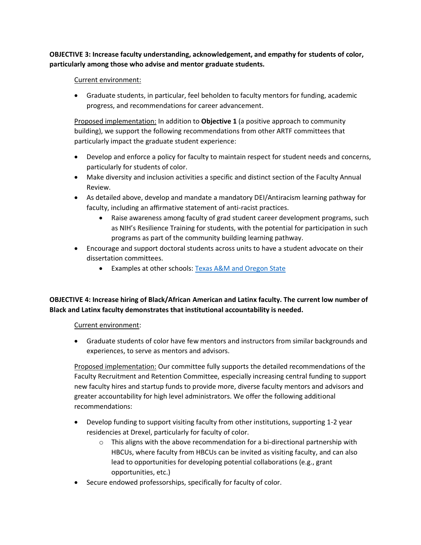**OBJECTIVE 3: Increase faculty understanding, acknowledgement, and empathy for students of color, particularly among those who advise and mentor graduate students.**

### Current environment:

• Graduate students, in particular, feel beholden to faculty mentors for funding, academic progress, and recommendations for career advancement.

Proposed implementation: In addition to **Objective 1** (a positive approach to community building), we support the following recommendations from other ARTF committees that particularly impact the graduate student experience:

- Develop and enforce a policy for faculty to maintain respect for student needs and concerns, particularly for students of color.
- Make diversity and inclusion activities a specific and distinct section of the Faculty Annual Review.
- As detailed above, develop and mandate a mandatory DEI/Antiracism learning pathway for faculty, including an affirmative statement of anti-racist practices.
	- Raise awareness among faculty of grad student career development programs, such as NIH's Resilience Training for students, with the potential for participation in such programs as part of the community building learning pathway.
- Encourage and support doctoral students across units to have a student advocate on their dissertation committees.
	- Examples at other schools: [Texas A&M and Oregon State](https://gradschool.oregonstate.edu/current/graduate-committee)

# **OBJECTIVE 4: Increase hiring of Black/African American and Latinx faculty. The current low number of Black and Latinx faculty demonstrates that institutional accountability is needed.**

# Current environment:

• Graduate students of color have few mentors and instructors from similar backgrounds and experiences, to serve as mentors and advisors.

Proposed implementation: Our committee fully supports the detailed recommendations of the Faculty Recruitment and Retention Committee, especially increasing central funding to support new faculty hires and startup funds to provide more, diverse faculty mentors and advisors and greater accountability for high level administrators. We offer the following additional recommendations:

- Develop funding to support visiting faculty from other institutions, supporting 1-2 year residencies at Drexel, particularly for faculty of color.
	- $\circ$  This aligns with the above recommendation for a bi-directional partnership with HBCUs, where faculty from HBCUs can be invited as visiting faculty, and can also lead to opportunities for developing potential collaborations (e.g., grant opportunities, etc.)
- Secure endowed professorships, specifically for faculty of color.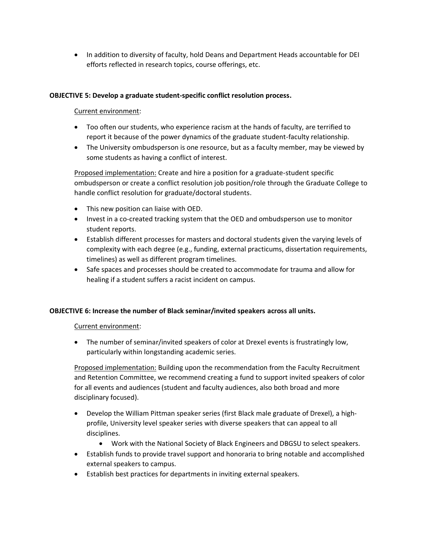• In addition to diversity of faculty, hold Deans and Department Heads accountable for DEI efforts reflected in research topics, course offerings, etc.

# **OBJECTIVE 5: Develop a graduate student-specific conflict resolution process.**

# Current environment:

- Too often our students, who experience racism at the hands of faculty, are terrified to report it because of the power dynamics of the graduate student-faculty relationship.
- The University ombudsperson is one resource, but as a faculty member, may be viewed by some students as having a conflict of interest.

Proposed implementation: Create and hire a position for a graduate-student specific ombudsperson or create a conflict resolution job position/role through the Graduate College to handle conflict resolution for graduate/doctoral students.

- This new position can liaise with OED.
- Invest in a co-created tracking system that the OED and ombudsperson use to monitor student reports.
- Establish different processes for masters and doctoral students given the varying levels of complexity with each degree (e.g., funding, external practicums, dissertation requirements, timelines) as well as different program timelines.
- Safe spaces and processes should be created to accommodate for trauma and allow for healing if a student suffers a racist incident on campus.

#### **OBJECTIVE 6: Increase the number of Black seminar/invited speakers across all units.**

#### Current environment:

• The number of seminar/invited speakers of color at Drexel events is frustratingly low, particularly within longstanding academic series.

Proposed implementation: Building upon the recommendation from the Faculty Recruitment and Retention Committee, we recommend creating a fund to support invited speakers of color for all events and audiences (student and faculty audiences, also both broad and more disciplinary focused).

- Develop the William Pittman speaker series (first Black male graduate of Drexel), a highprofile, University level speaker series with diverse speakers that can appeal to all disciplines.
	- Work with the National Society of Black Engineers and DBGSU to select speakers.
- Establish funds to provide travel support and honoraria to bring notable and accomplished external speakers to campus.
- Establish best practices for departments in inviting external speakers.